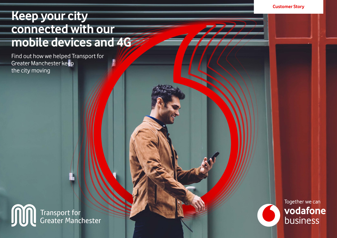# **Keep your city connected with our mobile devices and 4G**

Find out how we helped Transport for Greater Manchester keep the city moving

Transport for<br>Greater Manchester JU

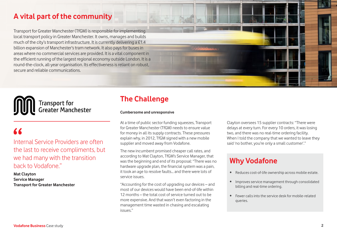### **A vital part of the community**

Transport for Greater Manchester (TfGM) is responsible for implementing local transport policy in Greater Manchester. It owns, manages and builds much of the city's transport infrastructure. It is currently delivering a £1.4 billion expansion of Manchester's tram network. It also pays for buses in areas where no commercial services are provided. It is a vital component in the efficient running of the largest regional economy outside London. It is a round-the-clock, all-year organisation. Its effectiveness is reliant on robust, secure and reliable communications.



# Transport for<br>Greater Manchester

# $\overline{1}$

Internal Service Providers are often the last to receive compliments, but we had many with the transition back to Vodafone."

**Mat Clayton Service Manager Transport for Greater Manchester**

## **The Challenge**

#### **Cumbersome and unresponsive**

At a time of public sector funding squeezes, Transport for Greater Manchester (TfGM) needs to ensure value for money in all its supply contracts. These pressures explain why, in 2012, TfGM signed with a new mobile supplier and moved away from Vodafone.

The new incumbent promised cheaper call rates, and according to Mat Clayton, TfGM's Service Manager, that was the beginning and end of its proposal: "There was no hardware upgrade plan, the financial system was a pain, it took an age to resolve faults… and there were lots of service issues.

"Accounting for the cost of upgrading our devices – and most of our devices would have been end-of-life within 12 months – the total cost of service turned out to be more expensive. And that wasn't even factoring in the management time wasted in chasing and escalating issues."

Clayton oversees 15 supplier contracts: "There were delays at every turn. For every 10 orders, it was losing two, and there was no real-time ordering facility. When I told the company that we wanted to leave they said 'no bother, you're only a small customer'."

# **Why Vodafone**

- Reduces cost-of-life ownership across mobile estate.
- Improves service management through consolidated billing and real-time ordering.
- Fewer calls into the service desk for mobile-related queries.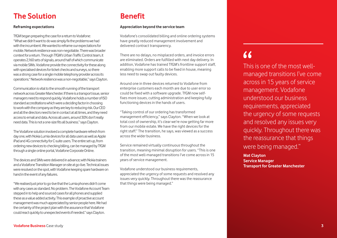#### **The Solution Benefit**

#### **Reframing expectations**

TfGM began preparing the case for a return to Vodafone: "What we didn't want to do was simply fix the problems we had with the incumbent. We wanted to reframe our expectations for mobile. Network resilience was non-negotiable. There was broader context for a return. Through TfGM's Urban Traffic Control team, it operates 2,160 sets of signals, around half of which communicate via mobile SIMs. Vodafone provide the connectivity for these along with specialised devices for ticket checks and surveys, so there was a strong case for a single mobile telephony provider across its operations." Network resilience was a non-negotiable," says Clayton.

Communication is vital to the smooth running of the transport network across Greater Manchester. If there is a transport issue, senior managers need to respond quickly. Vodafone holds a number of ISO standard accreditations which were a deciding factor in choosing to work with the company as they are key to reducing risk. Our CEO and all the directors need to be in contact at all times, and they need access to email and data. Across all users, around 30% don't really need data. This is not a one-size fits all business." says Clayton.

The Vodafone solution involved a complete hardware refresh from day one, with Nokia Lumia devices for all data users as well as Apple iPad and 4G connectivity for C-suite users. The entire set-up, from ordering new devices to checking billing, can be managed by TfGM through a single online portal, Vodafone Corporate Online.

The devices and SIMs were delivered in advance; with Nokia trainers and a Vodafone Transition Manager on site at go-live. Technical issues were resolved on the spot, with Vodafone keeping spare hardware on hand in the event of any failures.

"We realised just prior to go-live that the Lumia phones didn't come with any cases as standard. No problem. The Vodafone Account Team stepped in to help and sourced cases for all phones and supplied these as a value added activity. This example of proactive account management was much appreciated by senior people here. We had the certainty of the project plan with the assurance that Vodafone could react quickly to unexpected events if needed." says Clayton.

#### **Appreciation beyond the service team**

Vodafone's consolidated billing and online ordering systems have greatly reduced management involvement and delivered contract transparency.

There are no delays, no misplaced orders, and invoice errors are eliminated. Orders are fulfilled with next day delivery. In addition, Vodafone has trained TfGM's frontline support staff, enabling more support calls to be fixed in house, meaning less need to swap out faulty devices.

Around one in three devices returned to Vodafone from enterprise customers each month are due to user error so could be fixed with a software upgrade. TfGM now selffixes more issues, cutting administration and keeping fully functioning devices in the hands of users.

"Taking control of our ordering has transformed management efficiency," says Clayton. "When we look at total cost of ownership, it's clear we're now getting far more from our mobile estate. We have the right devices for the right staff." The transition, he says, was viewed as a success across the wider business.

Service remained virtually continuous throughout the transition, meaning minimal disruption for users. "This is one of the most well-managed transitions I've come across in 15 years of service management.

Vodafone understood our business requirements, appreciated the urgency of some requests and resolved any issues very quickly. Throughout there was the reassurance that things were being managed."

# $\overline{11}$

This is one of the most wellmanaged transitions I've come across in 15 years of service management. Vodafone understood our business requirements, appreciated the urgency of some requests and resolved any issues very quickly. Throughout there was the reassurance that things were being managed."

**Mat Clayton Service Manager Transport for Greater Manchester**